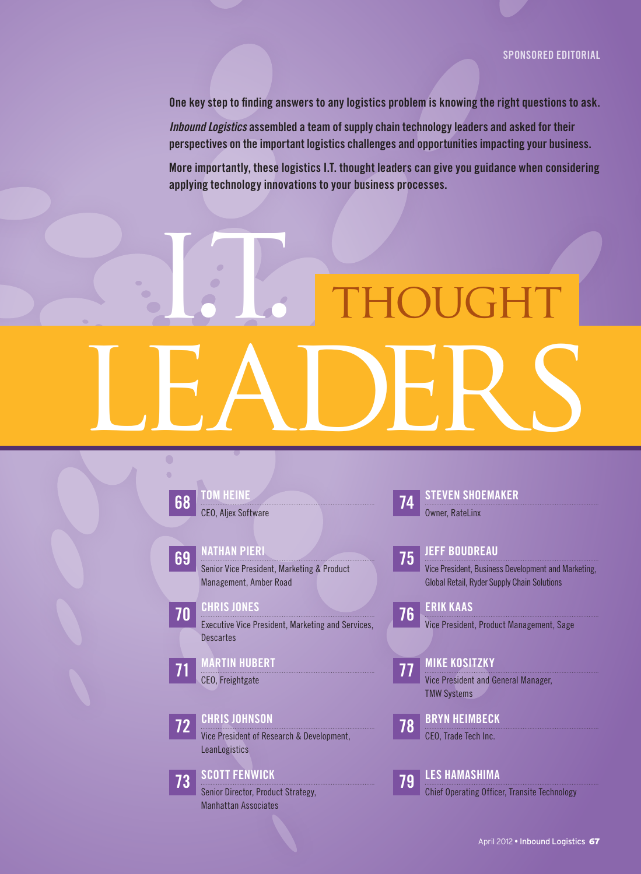One key step to finding answers to any logistics problem is knowing the right questions to ask.

*Inbound Logistics* assembled a team of supply chain technology leaders and asked for their perspectives on the important logistics challenges and opportunities impacting your business.

More importantly, these logistics I.T. thought leaders can give you guidance when considering applying technology innovations to your business processes.

## I.T. THOUGHT LEADERS



Manhattan Associates

**74 STEVEN SHOEMAKER** 

Owner, RateLinx

#### 75 Jeff Boudreau

Vice President, Business Development and Marketing, Global Retail, Ryder Supply Chain Solutions

76 ERIK KAAS Vice President, Product Management, Sage

**77 MIKE KOSITZKY** Vice President and General Manager, TMW Systems

78 BRYN HEIMBECK CEO, Trade Tech Inc.

79 Les Hamashima

Chief Operating Officer, Transite Technology

April 2012 • Inbound Logistics 67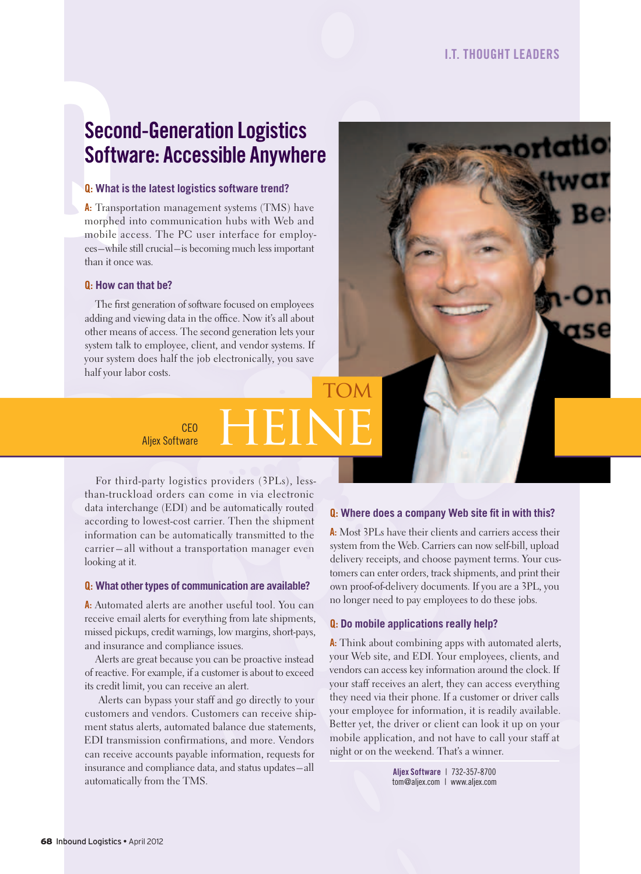#### Second-Generation logistics Software: Accessible Anywhere

#### Q: **What is the latest logistics software trend?**

Seco<br>
Softy<br> **Q:** What i<br> **A:** Transp<br>
morphed<br>
mobile<br>
ees—whil<br>
than it on A: Transportation management systems (TMS) have morphed into communication hubs with Web and mobile access. The PC user interface for employees – while still crucial – is becoming much less important than it once was.

#### Q: **How can that be?**

The first generation of software focused on employees adding and viewing data in the office. Now it's all about other means of access. The second generation lets your system talk to employee, client, and vendor systems. If your system does half the job electronically, you save half your labor costs.

CEO HEINE

CEO

For third-party logistics providers (3PLs), lessthan-truckload orders can come in via electronic data interchange (EDI) and be automatically routed according to lowest-cost carrier. Then the shipment information can be automatically transmitted to the carrier – all without a transportation manager even looking at it.

#### Q: **What other types of communication are available?**

A: Automated alerts are another useful tool. You can receive email alerts for everything from late shipments, missed pickups, credit warnings, low margins, short-pays, and insurance and compliance issues.

Alerts are great because you can be proactive instead of reactive. For example, if a customer is about to exceed its credit limit, you can receive an alert.

 Alerts can bypass your staff and go directly to your customers and vendors. Customers can receive shipment status alerts, automated balance due statements, EDI transmission confirmations, and more. Vendors can receive accounts payable information, requests for insurance and compliance data, and status updates – all automatically from the TMS.

#### **Q:** Where does a company Web site fit in with this?

A: Most 3PLs have their clients and carriers access their system from the Web. Carriers can now self-bill, upload delivery receipts, and choose payment terms. Your customers can enter orders, track shipments, and print their own proof-of-delivery documents. If you are a 3PL, you no longer need to pay employees to do these jobs.

#### Q: **Do mobile applications really help?**

**TOM** 

A: Think about combining apps with automated alerts, your Web site, and EDI. Your employees, clients, and vendors can access key information around the clock. If your staff receives an alert, they can access everything they need via their phone. If a customer or driver calls your employee for information, it is readily available. Better yet, the driver or client can look it up on your mobile application, and not have to call your staff at night or on the weekend. That's a winner.

> aljex Software | 732-357-8700 tom@aljex.com | www.aljex.com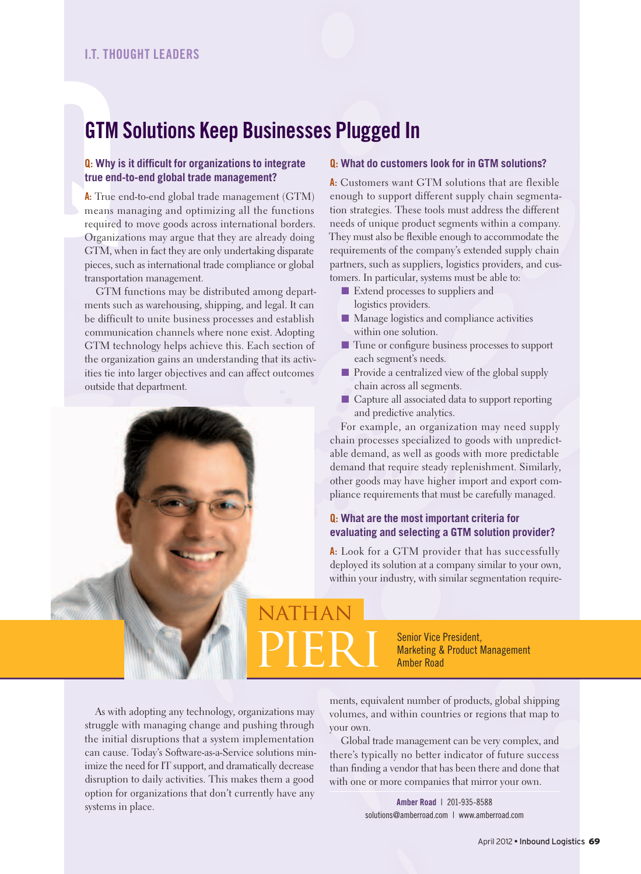#### GtM Solutions keep businesses plugged in

#### **Q:** Why is it difficult for organizations to integrate **true end-to-end global trade management?**

GTM<br> **GTM**<br> **a**: Why is<br>
true end<br> **A**: True e<br>
means m<br>
required<br>
Organizz<br>
GTM, wh<br>
pieces, su A: True end-to-end global trade management (GTM) means managing and optimizing all the functions required to move goods across international borders. Organizations may argue that they are already doing GTM, when in fact they are only undertaking disparate pieces, such as international trade compliance or global transportation management.

> GTM functions may be distributed among departments such as warehousing, shipping, and legal. It can be difficult to unite business processes and establish communication channels where none exist. Adopting GTM technology helps achieve this. Each section of the organization gains an understanding that its activities tie into larger objectives and can affect outcomes outside that department.

#### Q: **What do customers look for in GTM solutions?**

A: Customers want GTM solutions that are flexible enough to support different supply chain segmentation strategies. These tools must address the different needs of unique product segments within a company. They must also be flexible enough to accommodate the requirements of the company's extended supply chain partners, such as suppliers, logistics providers, and customers. In particular, systems must be able to:

- Extend processes to suppliers and logistics providers.
- Manage logistics and compliance activities within one solution.
- Tune or configure business processes to support each segment's needs.
- Provide a centralized view of the global supply chain across all segments.
- Capture all associated data to support reporting and predictive analytics.

For example, an organization may need supply chain processes specialized to goods with unpredictable demand, as well as goods with more predictable demand that require steady replenishment. Similarly, other goods may have higher import and export compliance requirements that must be carefully managed.

#### Q: **What are the most important criteria for evaluating and selecting a GTM solution provider?**

A: Look for a GTM provider that has successfully deployed its solution at a company similar to your own, within your industry, with similar segmentation require-

#### NATHAN PIERI Senior Vice President,<br>Amber Road<br>Amber Road

**Marketing & Product Management** Amber Road

As with adopting any technology, organizations may struggle with managing change and pushing through the initial disruptions that a system implementation can cause. Today's Software-as-a-Service solutions minimize the need for IT support, and dramatically decrease disruption to daily activities. This makes them a good option for organizations that don't currently have any systems in place.

ments, equivalent number of products, global shipping volumes, and within countries or regions that map to your own.

Global trade management can be very complex, and there's typically no better indicator of future success than finding a vendor that has been there and done that with one or more companies that mirror your own.

> Amber Road | 201-935-8588 solutions@amberroad.com | www.amberroad.com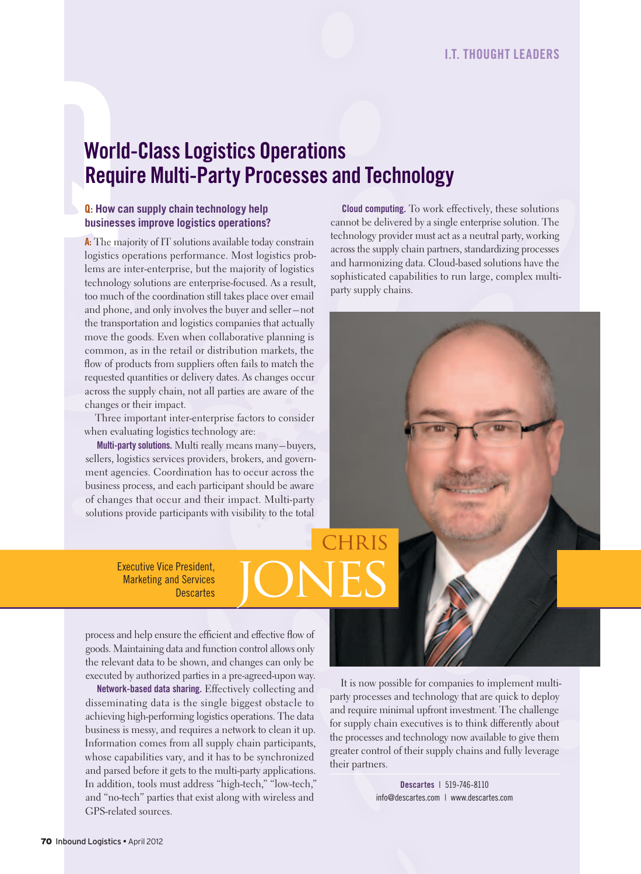## Worley<br>
Requence<br>
Requence<br>
Reflation<br>
A: The m.<br>
logistics<br>
lems are World-Class Logistics Operations **Require Multi-Party Processes and Technology**

#### Q: **How can supply chain technology help businesses improve logistics operations?**

A: The majority of IT solutions available today constrain logistics operations performance. Most logistics problems are inter-enterprise, but the majority of logistics technology solutions are enterprise-focused. As a result, too much of the coordination still takes place over email and phone, and only involves the buyer and seller – not the transportation and logistics companies that actually move the goods. Even when collaborative planning is common, as in the retail or distribution markets, the flow of products from suppliers often fails to match the requested quantities or delivery dates. As changes occur across the supply chain, not all parties are aware of the changes or their impact.

Three important inter-enterprise factors to consider when evaluating logistics technology are:

Multi-party solutions. Multi really means many-buyers, sellers, logistics services providers, brokers, and government agencies. Coordination has to occur across the business process, and each participant should be aware of changes that occur and their impact. Multi-party solutions provide participants with visibility to the total

> Executive Vice President, Marketing and Services President,<br>Descartes JONES

Cloud computing. To work effectively, these solutions cannot be delivered by a single enterprise solution. The technology provider must act as a neutral party, working across the supply chain partners, standardizing processes and harmonizing data. Cloud-based solutions have the sophisticated capabilities to run large, complex multiparty supply chains.

It is now possible for companies to implement multiparty processes and technology that are quick to deploy and require minimal upfront investment. The challenge for supply chain executives is to think differently about the processes and technology now available to give them greater control of their supply chains and fully leverage their partners.

Chris

Descartes | 519-746-8110 info@descartes.com | www.descartes.com

process and help ensure the efficient and effective flow of goods. Maintaining data and function control allows only the relevant data to be shown, and changes can only be executed by authorized parties in a pre-agreed-upon way.

Network-based data sharing. Effectively collecting and disseminating data is the single biggest obstacle to achieving high-performing logistics operations. The data business is messy, and requires a network to clean it up. Information comes from all supply chain participants, whose capabilities vary, and it has to be synchronized and parsed before it gets to the multi-party applications. In addition, tools must address "high-tech," "low-tech," and "no-tech" parties that exist along with wireless and GPS-related sources.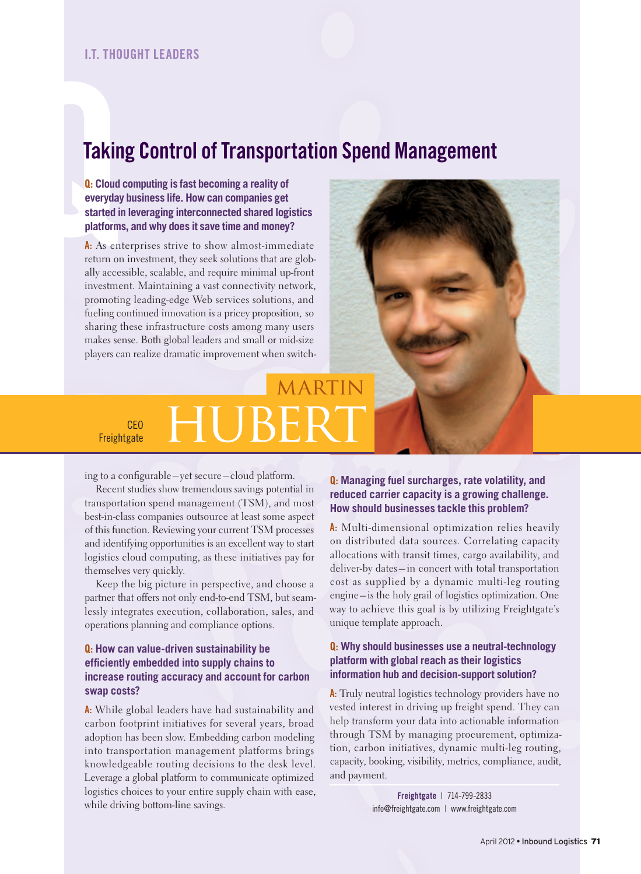#### **Taking Control of Transportation Spend Management**

**Takin**<br> **Q:** Cloud<br>
everyday<br>
started in<br>
platforms<br>
A: As ent<br>
return on<br>
ally acces Q: **Cloud computing is fast becoming a reality of everyday business life. How can companies get started in leveraging interconnected shared logistics platforms, and why does it save time and money?**

A: As enterprises strive to show almost-immediate return on investment, they seek solutions that are globally accessible, scalable, and require minimal up-front investment. Maintaining a vast connectivity network, promoting leading-edge Web services solutions, and fueling continued innovation is a pricey proposition, so sharing these infrastructure costs among many users makes sense. Both global leaders and small or mid-size players can realize dramatic improvement when switch-



#### MARTIN CEO CEO HUBERT

ing to a configurable-yet secure-cloud platform.

Recent studies show tremendous savings potential in transportation spend management (TSM), and most best-in-class companies outsource at least some aspect of this function. Reviewing your current TSM processes and identifying opportunities is an excellent way to start logistics cloud computing, as these initiatives pay for themselves very quickly.

Keep the big picture in perspective, and choose a partner that offers not only end-to-end TSM, but seamlessly integrates execution, collaboration, sales, and operations planning and compliance options.

#### Q: **How can value-driven sustainability be effi ciently embedded into supply chains to increase routing accuracy and account for carbon swap costs?**

A: While global leaders have had sustainability and carbon footprint initiatives for several years, broad adoption has been slow. Embedding carbon modeling into transportation management platforms brings knowledgeable routing decisions to the desk level. Leverage a global platform to communicate optimized logistics choices to your entire supply chain with ease, while driving bottom-line savings.

#### Q: **Managing fuel surcharges, rate volatility, and reduced carrier capacity is a growing challenge. How should businesses tackle this problem?**

A: Multi-dimensional optimization relies heavily on distributed data sources. Correlating capacity allocations with transit times, cargo availability, and deliver-by dates – in concert with total transportation cost as supplied by a dynamic multi-leg routing engine – is the holy grail of logistics optimization. One way to achieve this goal is by utilizing Freightgate's unique template approach.

#### Q: **Why should businesses use a neutral-technology platform with global reach as their logistics information hub and decision-support solution?**

A: Truly neutral logistics technology providers have no vested interest in driving up freight spend. They can help transform your data into actionable information through TSM by managing procurement, optimization, carbon initiatives, dynamic multi-leg routing, capacity, booking, visibility, metrics, compliance, audit, and payment.

> Freightgate | 714-799-2833 info@freightgate.com | www.freightgate.com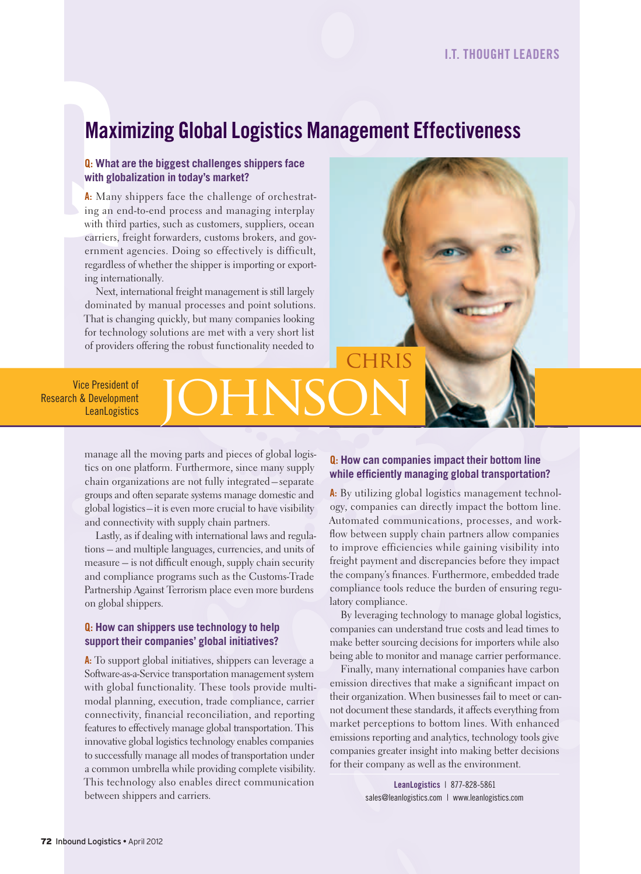#### **Maximizing Global Logistics Management Effectiveness**

#### Q: **What are the biggest challenges shippers face with globalization in today's market?**

**Maxi**<br> **Q**: What a<br>
with glot<br> **A**: Many<br>
ing an e<br>
with third<br>
carriers,<br>
ernment<br>
regardles: A: Many shippers face the challenge of orchestrating an end-to-end process and managing interplay with third parties, such as customers, suppliers, ocean carriers, freight forwarders, customs brokers, and government agencies. Doing so effectively is difficult, regardless of whether the shipper is importing or exporting internationally.

> Next, international freight management is still largely dominated by manual processes and point solutions. That is changing quickly, but many companies looking for technology solutions are met with a very short list of providers offering the robust functionality needed to



Vice President of Research & Development

## e President of **JOHNSON**

manage all the moving parts and pieces of global logistics on one platform. Furthermore, since many supply chain organizations are not fully integrated – separate groups and often separate systems manage domestic and global logistics – it is even more crucial to have visibility and connectivity with supply chain partners.

Lastly, as if dealing with international laws and regulations – and multiple languages, currencies, and units of measure – is not difficult enough, supply chain security and compliance programs such as the Customs-Trade Partnership Against Terrorism place even more burdens on global shippers.

#### Q: **How can shippers use technology to help support their companies' global initiatives?**

A: To support global initiatives, shippers can leverage a Software-as-a-Service transportation management system with global functionality. These tools provide multimodal planning, execution, trade compliance, carrier connectivity, financial reconciliation, and reporting features to effectively manage global transportation. This innovative global logistics technology enables companies to successfully manage all modes of transportation under a common umbrella while providing complete visibility. This technology also enables direct communication between shippers and carriers.

#### Q: **How can companies impact their bottom line**  while efficiently managing global transportation?

A: By utilizing global logistics management technology, companies can directly impact the bottom line. Automated communications, processes, and work flow between supply chain partners allow companies to improve efficiencies while gaining visibility into freight payment and discrepancies before they impact the company's finances. Furthermore, embedded trade compliance tools reduce the burden of ensuring regulatory compliance.

By leveraging technology to manage global logistics, companies can understand true costs and lead times to make better sourcing decisions for importers while also being able to monitor and manage carrier performance.

Finally, many international companies have carbon emission directives that make a significant impact on their organization. When businesses fail to meet or cannot document these standards, it affects everything from market perceptions to bottom lines. With enhanced emissions reporting and analytics, technology tools give companies greater insight into making better decisions for their company as well as the environment.

> leanlogistics | 877-828-5861 sales@leanlogistics.com | www.leanlogistics.com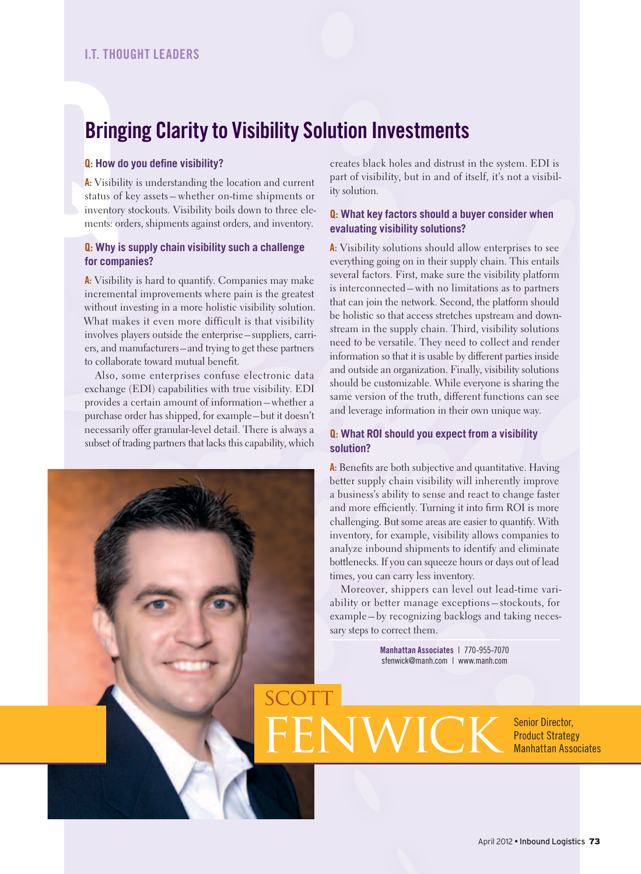#### **Bringing Clarity to Visibility Solution Investments**

SCOTT

#### **Q: How do you define visibility?**

**Bring**<br> **a**: How d<br> **A:** Visibil<br>
status of<br>
inventory<br>
ments: or<br> **Q:** Why is<br>
for comp A: Visibility is understanding the location and current status of key assets – whether on-time shipments or inventory stockouts. Visibility boils down to three elements: orders, shipments against orders, and inventory.

#### Q: **Why is supply chain visibility such a challenge for companies?**

A: Visibility is hard to quantify. Companies may make incremental improvements where pain is the greatest without investing in a more holistic visibility solution. What makes it even more difficult is that visibility involves players outside the enterprise – suppliers, carriers, and manufacturers – and trying to get these partners to collaborate toward mutual benefit.

Also, some enterprises confuse electronic data exchange (EDI) capabilities with true visibility. EDI provides a certain amount of information – whether a purchase order has shipped, for example – but it doesn't necessarily offer granular-level detail. There is always a subset of trading partners that lacks this capability, which

creates black holes and distrust in the system. EDI is part of visibility, but in and of itself, it's not a visibility solution.

#### Q: **What key factors should a buyer consider when evaluating visibility solutions?**

A: Visibility solutions should allow enterprises to see everything going on in their supply chain. This entails several factors. First, make sure the visibility platform is interconnected – with no limitations as to partners that can join the network. Second, the platform should be holistic so that access stretches upstream and downstream in the supply chain. Third, visibility solutions need to be versatile. They need to collect and render information so that it is usable by different parties inside and outside an organization. Finally, visibility solutions should be customizable. While everyone is sharing the same version of the truth, different functions can see and leverage information in their own unique way.

#### Q: **What ROI should you expect from a visibility solution?**

A: Benefits are both subjective and quantitative. Having better supply chain visibility will inherently improve a business's ability to sense and react to change faster and more efficiently. Turning it into firm ROI is more challenging. But some areas are easier to quantify. With inventory, for example, visibility allows companies to analyze inbound shipments to identify and eliminate bottlenecks. If you can squeeze hours or days out of lead times, you can carry less inventory.

Moreover, shippers can level out lead-time variability or better manage exceptions – stockouts, for example – by recognizing backlogs and taking necessary steps to correct them.

> Manhattan Associates | 770-955-7070 sfenwick@manh.com | www.manh.com

FENWICK Senior Director, Product Strategy Manhattan Associates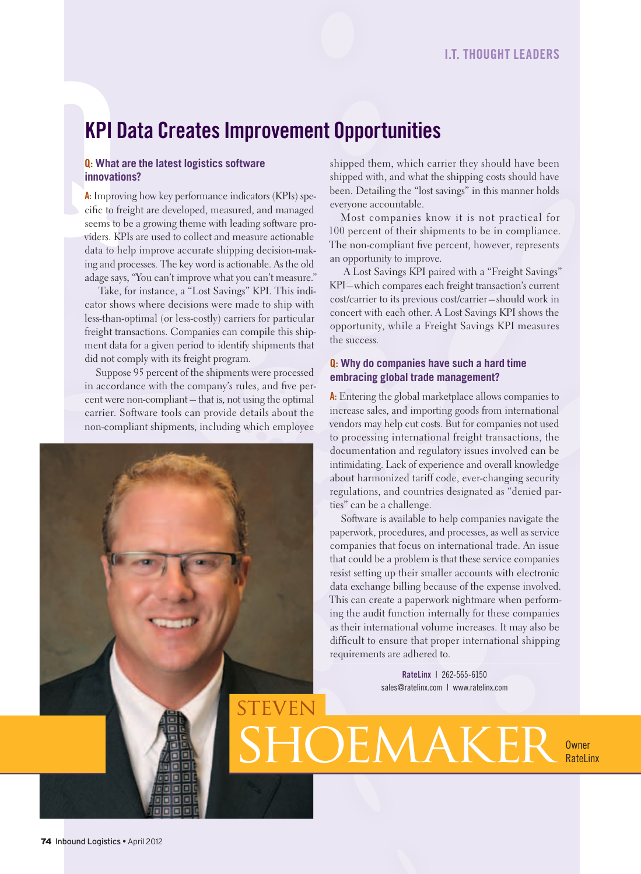#### **KPI Data Creates Improvement Opportunities**

TEVEN

#### Q: **What are the latest logistics software innovations?**

**KPI E**<br> **G**: What a<br> **innovation**<br> **A:** Improve<br>
cific to fr<br>
seems to<br>
viders. KI<br>
data to h<br>
ing and p A: Improving how key performance indicators (KPIs) specific to freight are developed, measured, and managed seems to be a growing theme with leading software providers. KPIs are used to collect and measure actionable data to help improve accurate shipping decision-making and processes. The key word is actionable. As the old adage says, "You can't improve what you can't measure."

> Take, for instance, a "Lost Savings" KPI. This indicator shows where decisions were made to ship with less-than-optimal (or less-costly) carriers for particular freight transactions. Companies can compile this shipment data for a given period to identify shipments that did not comply with its freight program.

> Suppose 95 percent of the shipments were processed in accordance with the company's rules, and five percent were non-compliant – that is, not using the optimal carrier. Software tools can provide details about the non-compliant shipments, including which employee

shipped them, which carrier they should have been shipped with, and what the shipping costs should have been. Detailing the "lost savings" in this manner holds everyone accountable.

Most companies know it is not practical for 100 percent of their shipments to be in compliance. The non-compliant five percent, however, represents an opportunity to improve.

 A Lost Savings KPI paired with a "Freight Savings" KPI – which compares each freight transaction's current cost/carrier to its previous cost/carrier – should work in concert with each other. A Lost Savings KPI shows the opportunity, while a Freight Savings KPI measures the success.

#### Q: **Why do companies have such a hard time embracing global trade management?**

A: Entering the global marketplace allows companies to increase sales, and importing goods from international vendors may help cut costs. But for companies not used to processing international freight transactions, the documentation and regulatory issues involved can be intimidating. Lack of experience and overall knowledge about harmonized tariff code, ever-changing security regulations, and countries designated as "denied parties" can be a challenge.

 Software is available to help companies navigate the paperwork, procedures, and processes, as well as service companies that focus on international trade. An issue that could be a problem is that these service companies resist setting up their smaller accounts with electronic data exchange billing because of the expense involved. This can create a paperwork nightmare when performing the audit function internally for these companies as their international volume increases. It may also be difficult to ensure that proper international shipping requirements are adhered to.

> RateLinx | 262-565-6150 sales@ratelinx.com | www.ratelinx.com

OEMAKER OWNER **RateLinx**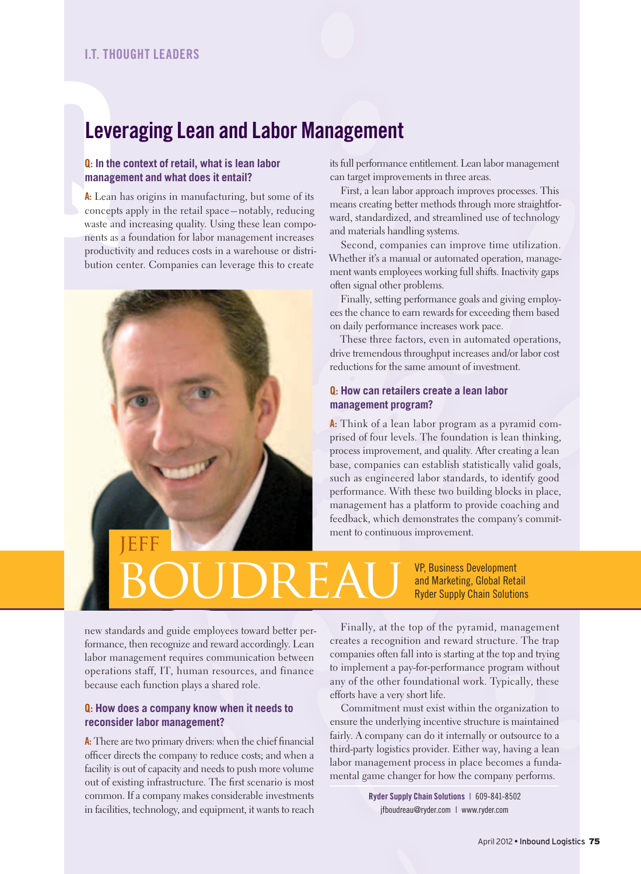#### leveraging lean and labor Management

#### Q: **In the context of retail, what is lean labor management and what does it entail?**

**Leve**<br> **Q:** In the<br>
manager<br>
A: Lean P<br>
concepts<br>
waste and<br>
ments as a<br>
productive<br>
bution co A: Lean has origins in manufacturing, but some of its concepts apply in the retail space – notably, reducing waste and increasing quality. Using these lean components as a foundation for labor management increases productivity and reduces costs in a warehouse or distribution center. Companies can leverage this to create



its full performance entitlement. Lean labor management can target improvements in three areas.

First, a lean labor approach improves processes. This means creating better methods through more straightforward, standardized, and streamlined use of technology and materials handling systems.

Second, companies can improve time utilization. Whether it's a manual or automated operation, management wants employees working full shifts. Inactivity gaps often signal other problems.

Finally, setting performance goals and giving employees the chance to earn rewards for exceeding them based on daily performance increases work pace.

These three factors, even in automated operations, drive tremendous throughput increases and/or labor cost reductions for the same amount of investment.

#### Q: **How can retailers create a lean labor management program?**

A: Think of a lean labor program as a pyramid comprised of four levels. The foundation is lean thinking, process improvement, and quality. After creating a lean base, companies can establish statistically valid goals, such as engineered labor standards, to identify good performance. With these two building blocks in place, management has a platform to provide coaching and feedback, which demonstrates the company's commitment to continuous improvement.

### BOUDREAU <sup>VP, Business Development</sup><br>Ryder Supply Chain Solution

and Marketing, Global Retail Ryder Supply Chain Solutions

new standards and guide employees toward better performance, then recognize and reward accordingly. Lean labor management requires communication between operations staff, IT, human resources, and finance because each function plays a shared role.

#### Q: **How does a company know when it needs to reconsider labor management?**

A: There are two primary drivers: when the chief financial officer directs the company to reduce costs; and when a facility is out of capacity and needs to push more volume out of existing infrastructure. The first scenario is most common. If a company makes considerable investments in facilities, technology, and equipment, it wants to reach

Finally, at the top of the pyramid, management creates a recognition and reward structure. The trap companies often fall into is starting at the top and trying to implement a pay-for-performance program without any of the other foundational work. Typically, these efforts have a very short life.

Commitment must exist within the organization to ensure the underlying incentive structure is maintained fairly. A company can do it internally or outsource to a third-party logistics provider. Either way, having a lean labor management process in place becomes a fundamental game changer for how the company performs.

> ryder Supply Chain Solutions | 609-841-8502 jfboudreau@ryder.com | www.ryder.com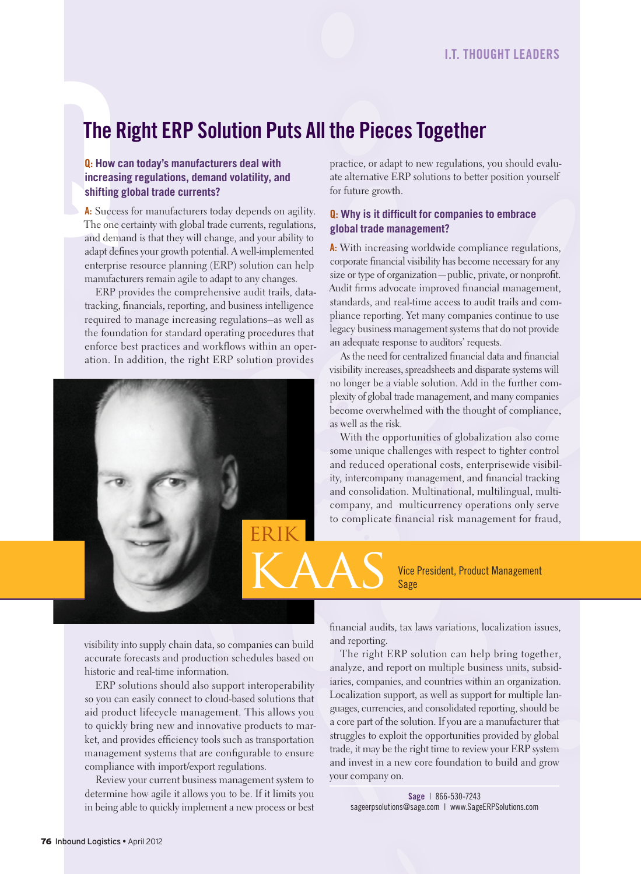#### The Right ERP Solution Puts All the Pieces Together

#### Q: **How can today's manufacturers deal with increasing regulations, demand volatility, and shifting global trade currents?**

**The F<br>
Q:** How c<br>
increasin<br>
shifting<br>
shifting<br>
A: Succes<br>
The one c<br>
and dema<br>
adapt defi<br>
enterprising A: Success for manufacturers today depends on agility. The one certainty with global trade currents, regulations, and demand is that they will change, and your ability to adapt defines your growth potential. A well-implemented enterprise resource planning (ERP) solution can help manufacturers remain agile to adapt to any changes.

> ERP provides the comprehensive audit trails, datatracking, financials, reporting, and business intelligence required to manage increasing regulations–as well as the foundation for standard operating procedures that enforce best practices and workflows within an operation. In addition, the right ERP solution provides



practice, or adapt to new regulations, you should evaluate alternative ERP solutions to better position yourself for future growth.

#### **Q:** Why is it difficult for companies to embrace **global trade management?**

A: With increasing worldwide compliance regulations, corporate financial visibility has become necessary for any size or type of organization—public, private, or nonprofit. Audit firms advocate improved financial management, standards, and real-time access to audit trails and compliance reporting. Yet many companies continue to use legacy business management systems that do not provide an adequate response to auditors' requests.

As the need for centralized financial data and financial visibility increases, spreadsheets and disparate systems will no longer be a viable solution. Add in the further complexity of global trade management, and many companies become overwhelmed with the thought of compliance, as well as the risk.

With the opportunities of globalization also come some unique challenges with respect to tighter control and reduced operational costs, enterprisewide visibility, intercompany management, and financial tracking and consolidation. Multinational, multilingual, multicompany, and multicurrency operations only serve to complicate financial risk management for fraud,

> Vice President, Product Management Sage

visibility into supply chain data, so companies can build accurate forecasts and production schedules based on historic and real-time information.

ERP solutions should also support interoperability so you can easily connect to cloud-based solutions that aid product lifecycle management. This allows you to quickly bring new and innovative products to market, and provides efficiency tools such as transportation management systems that are configurable to ensure compliance with import/export regulations.

Review your current business management system to determine how agile it allows you to be. If it limits you in being able to quickly implement a new process or best  nancial audits, tax laws variations, localization issues, and reporting.

The right ERP solution can help bring together, analyze, and report on multiple business units, subsidiaries, companies, and countries within an organization. Localization support, as well as support for multiple languages, currencies, and consolidated reporting, should be a core part of the solution. If you are a manufacturer that struggles to exploit the opportunities provided by global trade, it may be the right time to review your ERP system and invest in a new core foundation to build and grow your company on.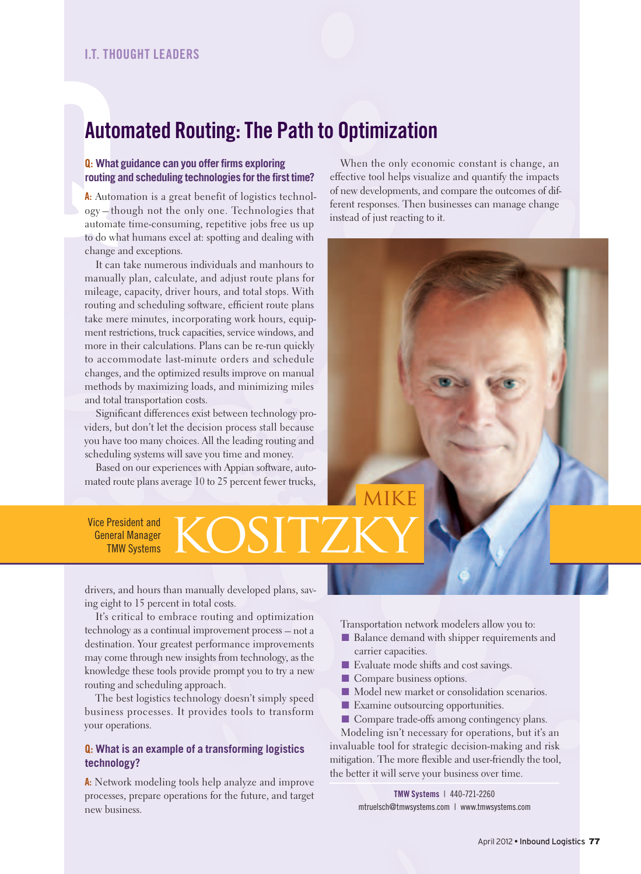#### Automated Routing: The Path to Optimization

#### **Q: What guidance can you offer firms exploring** routing and scheduling technologies for the first time?

Autol<br> **Autor**<br> **a:** What g<br> **routing a**<br> **a:** A: Autom<br>
ogy – the<br>
automate<br>
to do what<br>
change a<br>
It can A: Automation is a great benefit of logistics technology – though not the only one. Technologies that automate time-consuming, repetitive jobs free us up to do what humans excel at: spotting and dealing with change and exceptions.

It can take numerous individuals and manhours to manually plan, calculate, and adjust route plans for mileage, capacity, driver hours, and total stops. With routing and scheduling software, efficient route plans take mere minutes, incorporating work hours, equipment restrictions, truck capacities, service windows, and more in their calculations. Plans can be re-run quickly to accommodate last-minute orders and schedule changes, and the optimized results improve on manual methods by maximizing loads, and minimizing miles and total transportation costs.

Significant differences exist between technology providers, but don't let the decision process stall because you have too many choices. All the leading routing and scheduling systems will save you time and money.

Based on our experiences with Appian software, automated route plans average 10 to 25 percent fewer trucks,

When the only economic constant is change, an effective tool helps visualize and quantify the impacts of new developments, and compare the outcomes of different responses. Then businesses can manage change instead of just reacting to it.

# **MIKF**

Vice President and General Manager TMW Systems

drivers, and hours than manually developed plans, saving eight to 15 percent in total costs.

It's critical to embrace routing and optimization technology as a continual improvement process – not a destination. Your greatest performance improvements may come through new insights from technology, as the knowledge these tools provide prompt you to try a new routing and scheduling approach.

The best logistics technology doesn't simply speed business processes. It provides tools to transform your operations.

#### Q: **What is an example of a transforming logistics technology?**

A: Network modeling tools help analyze and improve processes, prepare operations for the future, and target new business.

Transportation network modelers allow you to:

- Balance demand with shipper requirements and carrier capacities.
- Evaluate mode shifts and cost savings.
- Compare business options.
- Model new market or consolidation scenarios.
- Examine outsourcing opportunities.
- Compare trade-offs among contingency plans.

Modeling isn't necessary for operations, but it's an invaluable tool for strategic decision-making and risk mitigation. The more flexible and user-friendly the tool, the better it will serve your business over time.

> tMw Systems | 440-721-2260 mtruelsch@tmwsystems.com | www.tmwsystems.com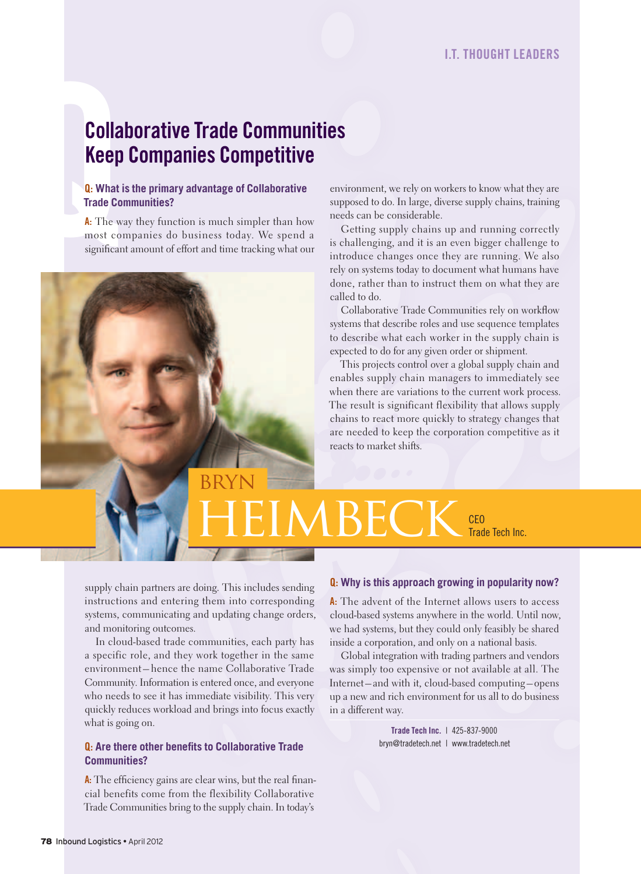## **Colla**<br> **Keep**<br> **Q.** What i<br>
Trade Co<br> **A.** The w<br>
most co<br>
significar Collaborative Trade Communities keep Companies Competitive

#### Q: **What is the primary advantage of Collaborative Trade Communities?**

A: The way they function is much simpler than how most companies do business today. We spend a significant amount of effort and time tracking what our environment, we rely on workers to know what they are supposed to do. In large, diverse supply chains, training needs can be considerable.

Getting supply chains up and running correctly is challenging, and it is an even bigger challenge to introduce changes once they are running. We also rely on systems today to document what humans have done, rather than to instruct them on what they are called to do.

Collaborative Trade Communities rely on workflow systems that describe roles and use sequence templates to describe what each worker in the supply chain is expected to do for any given order or shipment.

This projects control over a global supply chain and enables supply chain managers to immediately see when there are variations to the current work process. The result is significant flexibility that allows supply chains to react more quickly to strategy changes that are needed to keep the corporation competitive as it reacts to market shifts.

supply chain partners are doing. This includes sending instructions and entering them into corresponding systems, communicating and updating change orders, and monitoring outcomes.

Bryn

In cloud-based trade communities, each party has a specific role, and they work together in the same environment – hence the name Collaborative Trade Community. Information is entered once, and everyone who needs to see it has immediate visibility. This very quickly reduces workload and brings into focus exactly what is going on.

#### **Q:** Are there other benefits to Collaborative Trade **Communities?**

 $A$ : The efficiency gains are clear wins, but the real financial benefits come from the flexibility Collaborative Trade Communities bring to the supply chain. In today's

#### Q: **Why is this approach growing in popularity now?**

Trade Tech Inc.

HEIMBECK CEO

A: The advent of the Internet allows users to access cloud-based systems anywhere in the world. Until now, we had systems, but they could only feasibly be shared inside a corporation, and only on a national basis.

Global integration with trading partners and vendors was simply too expensive or not available at all. The Internet – and with it, cloud-based computing – opens up a new and rich environment for us all to do business in a different way.

> Trade Tech Inc. | 425-837-9000 bryn@tradetech.net | www.tradetech.net